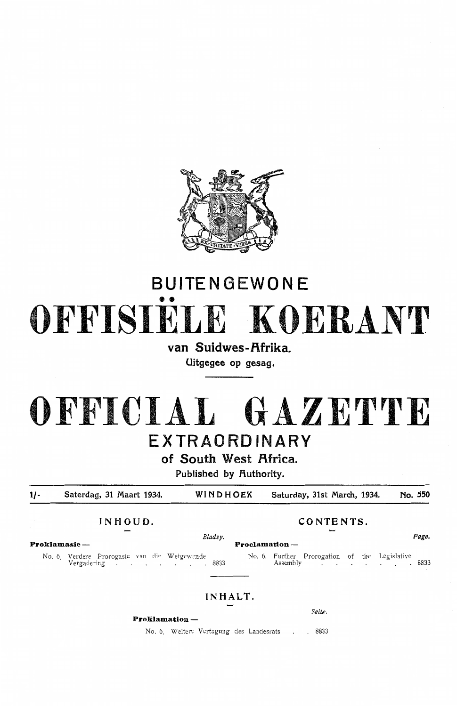

# **BUITENGEWONE**  •• **OFFISIELE KOERANT**

**van Suidwes-f\frika. Uitgegee op gesag.** 

**OFFICIAL GAZETTE EXTRAORDINARY** 

**of South West Africa.** 

**Published by Authority.** 

**1/- Saterdag, 31 Maart 1934. WINDHOEK Saturday, 31st March, 1934. No. 550** 

**INHOUD. CONTENTS.** 

**Proklamasie - Proclamation** -

No. 6. Verdere Prorogasie van die W etgewende No. 6. Further Prorogation of the Legislative Vergadering . . 8833 Assembly . 8833

**IN HALT.** 

**Proklamation** -

No. 6. Weitere Vertagung des Landesrats . . 8833

Seite.

*Bladsy.* **Page.**